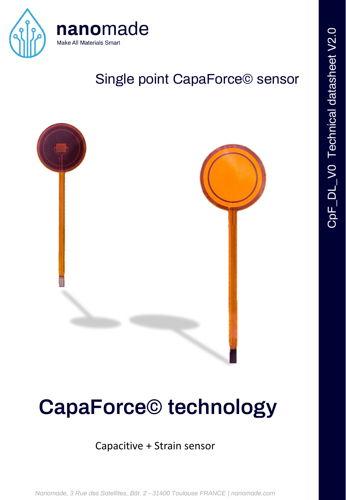

#### Single point CapaForce© sensor



# **CapaForce© technology**

#### Capacitive + Strain sensor

*Nanomade, 3 Rue des Satellites, Bât. 2 - 31400 Toulouse FRANCE | nanomade.com*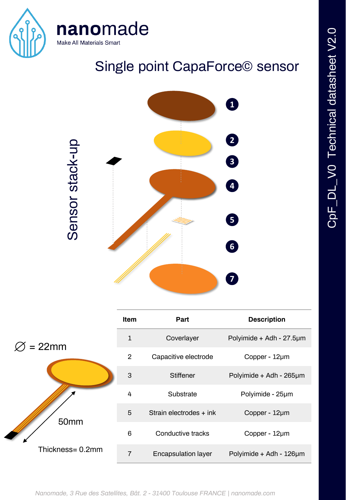



Sensor stack-up

### Single point CapaForce© sensor



|                              | <b>Item</b>    | Part                       | <b>Description</b>       |
|------------------------------|----------------|----------------------------|--------------------------|
| $= 22mm$<br>50 <sub>mm</sub> | 1              | Coverlayer                 | Polyimide + Adh - 27.5um |
|                              | $\overline{2}$ | Capacitive electrode       | Copper - 12um            |
|                              | 3              | Stiffener                  | Polyimide + Adh - 265µm  |
|                              | 4              | Substrate                  | Polyimide - 25µm         |
|                              | 5              | Strain electrodes + ink    | Copper - 12um            |
|                              | 6              | Conductive tracks          | Copper - 12um            |
| Thickness= 0.2mm             | 7              | <b>Encapsulation layer</b> | Polyimide + Adh - 126um  |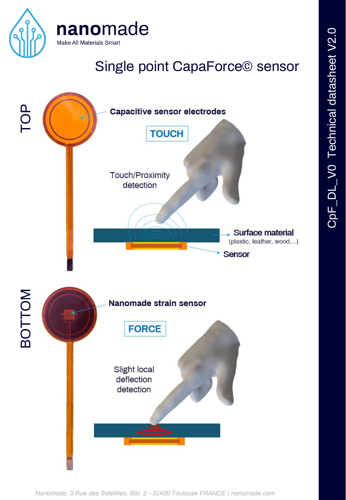



## Single point CapaForce© sensor